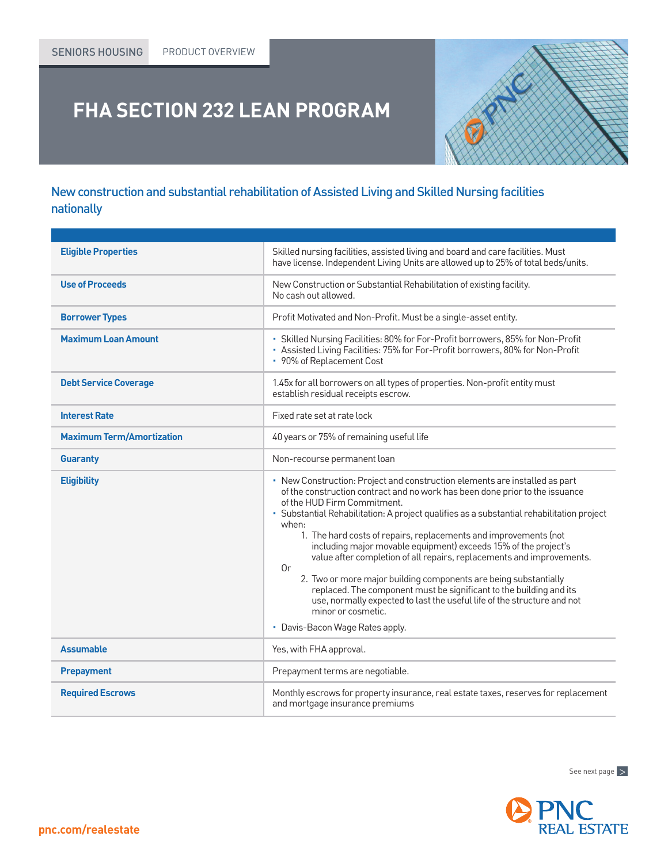## **FHA SECTION 232 LEAN PROGRAM**

## New construction and substantial rehabilitation of Assisted Living and Skilled Nursing facilities nationally

| <b>Eligible Properties</b>       | Skilled nursing facilities, assisted living and board and care facilities. Must<br>have license. Independent Living Units are allowed up to 25% of total beds/units.                                                                                                                                                                                                                                                                                                                                                                                                                                                                                                                                                                                                                                  |
|----------------------------------|-------------------------------------------------------------------------------------------------------------------------------------------------------------------------------------------------------------------------------------------------------------------------------------------------------------------------------------------------------------------------------------------------------------------------------------------------------------------------------------------------------------------------------------------------------------------------------------------------------------------------------------------------------------------------------------------------------------------------------------------------------------------------------------------------------|
| <b>Use of Proceeds</b>           | New Construction or Substantial Rehabilitation of existing facility.<br>No cash out allowed.                                                                                                                                                                                                                                                                                                                                                                                                                                                                                                                                                                                                                                                                                                          |
| <b>Borrower Types</b>            | Profit Motivated and Non-Profit. Must be a single-asset entity.                                                                                                                                                                                                                                                                                                                                                                                                                                                                                                                                                                                                                                                                                                                                       |
| <b>Maximum Loan Amount</b>       | • Skilled Nursing Facilities: 80% for For-Profit borrowers, 85% for Non-Profit<br>• Assisted Living Facilities: 75% for For-Profit borrowers, 80% for Non-Profit<br>• 90% of Replacement Cost                                                                                                                                                                                                                                                                                                                                                                                                                                                                                                                                                                                                         |
| <b>Debt Service Coverage</b>     | 1.45x for all borrowers on all types of properties. Non-profit entity must<br>establish residual receipts escrow.                                                                                                                                                                                                                                                                                                                                                                                                                                                                                                                                                                                                                                                                                     |
| <b>Interest Rate</b>             | Fixed rate set at rate lock                                                                                                                                                                                                                                                                                                                                                                                                                                                                                                                                                                                                                                                                                                                                                                           |
| <b>Maximum Term/Amortization</b> | 40 years or 75% of remaining useful life                                                                                                                                                                                                                                                                                                                                                                                                                                                                                                                                                                                                                                                                                                                                                              |
| <b>Guaranty</b>                  | Non-recourse permanent loan                                                                                                                                                                                                                                                                                                                                                                                                                                                                                                                                                                                                                                                                                                                                                                           |
| <b>Eligibility</b>               | • New Construction: Project and construction elements are installed as part<br>of the construction contract and no work has been done prior to the issuance<br>of the HUD Firm Commitment.<br>· Substantial Rehabilitation: A project qualifies as a substantial rehabilitation project<br>when:<br>1. The hard costs of repairs, replacements and improvements (not<br>including major movable equipment) exceeds 15% of the project's<br>value after completion of all repairs, replacements and improvements.<br>0r<br>2. Two or more major building components are being substantially<br>replaced. The component must be significant to the building and its<br>use, normally expected to last the useful life of the structure and not<br>minor or cosmetic.<br>• Davis-Bacon Wage Rates apply. |
| <b>Assumable</b>                 | Yes, with FHA approval.                                                                                                                                                                                                                                                                                                                                                                                                                                                                                                                                                                                                                                                                                                                                                                               |
| <b>Prepayment</b>                | Prepayment terms are negotiable.                                                                                                                                                                                                                                                                                                                                                                                                                                                                                                                                                                                                                                                                                                                                                                      |
| <b>Required Escrows</b>          | Monthly escrows for property insurance, real estate taxes, reserves for replacement<br>and mortgage insurance premiums                                                                                                                                                                                                                                                                                                                                                                                                                                                                                                                                                                                                                                                                                |

See next page >